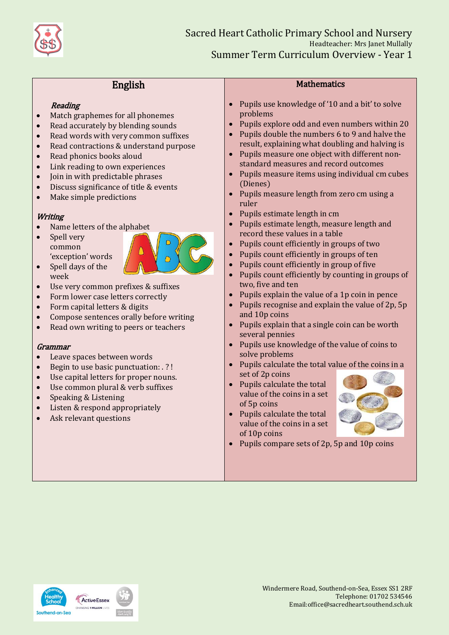

# English

### **Reading**

- Match graphemes for all phonemes
- Read accurately by blending sounds
- Read words with very common suffixes
- Read contractions & understand purpose
- Read phonics books aloud
- Link reading to own experiences
- Join in with predictable phrases
- Discuss significance of title & events
- Make simple predictions

# **Writing**

- Name letters of the alphabet
- Spell very common 'exception' words Spell days of the



- week Use very common prefixes & suffixes
- Form lower case letters correctly
- Form capital letters & digits
- Compose sentences orally before writing
- Read own writing to peers or teachers

#### Grammar

- Leave spaces between words
- Begin to use basic punctuation: . ? !
- Use capital letters for proper nouns.
- Use common plural & verb suffixes
- Speaking & Listening
- Listen & respond appropriately
- Ask relevant questions

## **Mathematics**

- Pupils use knowledge of '10 and a bit' to solve problems
- Pupils explore odd and even numbers within 20
- Pupils double the numbers 6 to 9 and halve the result, explaining what doubling and halving is
- Pupils measure one object with different nonstandard measures and record outcomes
- Pupils measure items using individual cm cubes (Dienes)
- Pupils measure length from zero cm using a ruler
- Pupils estimate length in cm
- Pupils estimate length, measure length and record these values in a table
- Pupils count efficiently in groups of two
- Pupils count efficiently in groups of ten
- Pupils count efficiently in group of five
- Pupils count efficiently by counting in groups of two, five and ten
- Pupils explain the value of a 1p coin in pence
- Pupils recognise and explain the value of 2p, 5p and 10p coins
- Pupils explain that a single coin can be worth several pennies
- Pupils use knowledge of the value of coins to solve problems
- Pupils calculate the total value of the coins in a set of 2p coins
- Pupils calculate the total value of the coins in a set of 5p coins
- Pupils calculate the total value of the coins in a set of 10p coins



• Pupils compare sets of 2p, 5p and 10p coins



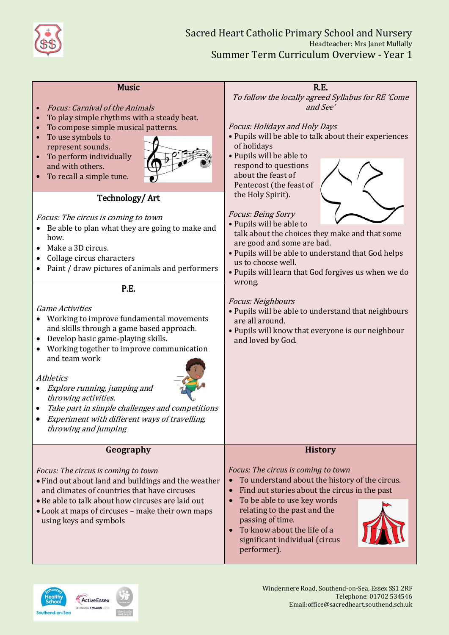

| <b>Music</b><br><b>Focus: Carnival of the Animals</b><br>To play simple rhythms with a steady beat.<br>To compose simple musical patterns.<br>To use symbols to<br>represent sounds.<br>To perform individually<br>and with others.<br>To recall a simple tune.<br>Technology/Art<br>Focus: The circus is coming to town<br>• Be able to plan what they are going to make and<br>how.<br>Make a 3D circus.<br>Collage circus characters<br>Paint / draw pictures of animals and performers<br>P.E.<br><b>Game Activities</b><br>Working to improve fundamental movements<br>and skills through a game based approach.<br>Develop basic game-playing skills.<br>• Working together to improve communication<br>and team work<br>Athletics<br>Explore running, jumping and<br>throwing activities.<br>Take part in simple challenges and competitions<br>Experiment with different ways of travelling,<br>throwing and jumping | R.E.<br>To follow the locally agreed Syllabus for RE 'Come<br>and See'<br><b>Focus: Holidays and Holy Days</b><br>• Pupils will be able to talk about their experiences<br>of holidays<br>• Pupils will be able to<br>respond to questions<br>about the feast of<br>Pentecost (the feast of<br>the Holy Spirit).<br><b>Focus: Being Sorry</b><br>• Pupils will be able to<br>talk about the choices they make and that some<br>are good and some are bad.<br>• Pupils will be able to understand that God helps<br>us to choose well.<br>. Pupils will learn that God forgives us when we do<br>wrong.<br>Focus: Neighbours<br>. Pupils will be able to understand that neighbours<br>are all around.<br>. Pupils will know that everyone is our neighbour<br>and loved by God. |
|------------------------------------------------------------------------------------------------------------------------------------------------------------------------------------------------------------------------------------------------------------------------------------------------------------------------------------------------------------------------------------------------------------------------------------------------------------------------------------------------------------------------------------------------------------------------------------------------------------------------------------------------------------------------------------------------------------------------------------------------------------------------------------------------------------------------------------------------------------------------------------------------------------------------------|---------------------------------------------------------------------------------------------------------------------------------------------------------------------------------------------------------------------------------------------------------------------------------------------------------------------------------------------------------------------------------------------------------------------------------------------------------------------------------------------------------------------------------------------------------------------------------------------------------------------------------------------------------------------------------------------------------------------------------------------------------------------------------|
| Geography                                                                                                                                                                                                                                                                                                                                                                                                                                                                                                                                                                                                                                                                                                                                                                                                                                                                                                                    | <b>History</b>                                                                                                                                                                                                                                                                                                                                                                                                                                                                                                                                                                                                                                                                                                                                                                  |
| Focus: The circus is coming to town<br>. Find out about land and buildings and the weather<br>and climates of countries that have circuses<br>• Be able to talk about how circuses are laid out<br>• Look at maps of circuses - make their own maps<br>using keys and symbols                                                                                                                                                                                                                                                                                                                                                                                                                                                                                                                                                                                                                                                | Focus: The circus is coming to town<br>To understand about the history of the circus.<br>Find out stories about the circus in the past<br>To be able to use key words<br>relating to the past and the<br>passing of time.<br>• To know about the life of a<br>significant individual (circus<br>performer).                                                                                                                                                                                                                                                                                                                                                                                                                                                                     |